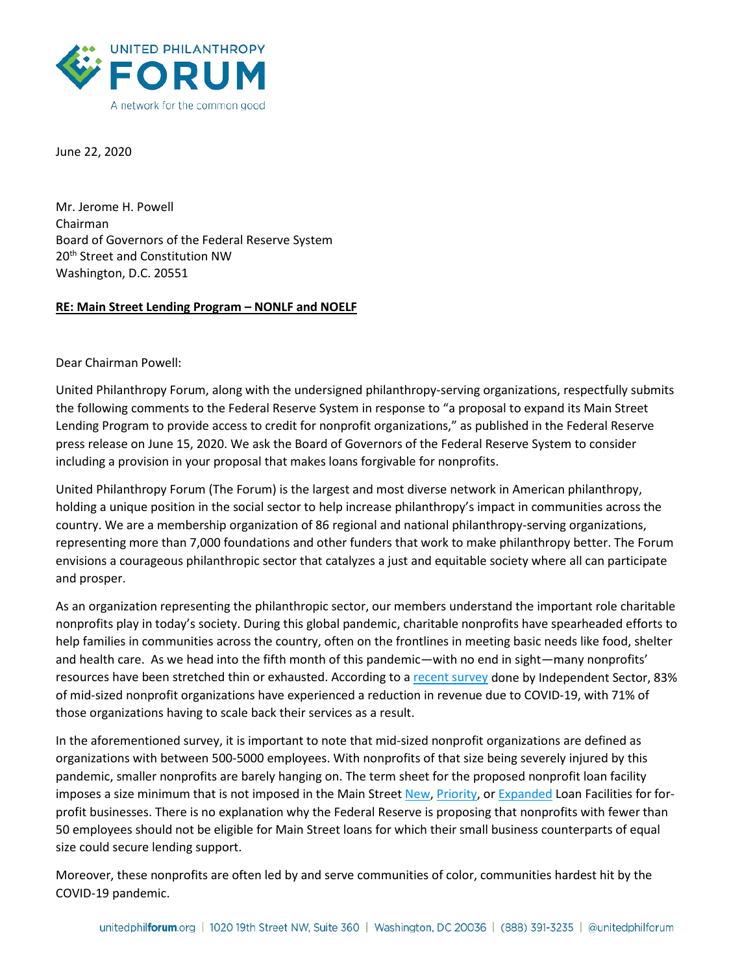

June 22, 2020

Mr. Jerome H. Powell Chairman Board of Governors of the Federal Reserve System 20<sup>th</sup> Street and Constitution NW Washington, D.C. 20551

## **RE: Main Street Lending Program – NONLF and NOELF**

Dear Chairman Powell:

United Philanthropy Forum, along with the undersigned philanthropy-serving organizations, respectfully submits the following comments to the Federal Reserve System in response to "a proposal to expand its Main Street Lending Program to provide access to credit for nonprofit organizations," as published in the Federal Reserve press release on June 15, 2020. We ask the Board of Governors of the Federal Reserve System to consider including a provision in your proposal that makes loans forgivable for nonprofits.

United Philanthropy Forum (The Forum) is the largest and most diverse network in American philanthropy, holding a unique position in the social sector to help increase philanthropy's impact in communities across the country. We are a membership organization of 86 regional and national philanthropy-serving organizations, representing more than 7,000 foundations and other funders that work to make philanthropy better. The Forum envisions a courageous philanthropic sector that catalyzes a just and equitable society where all can participate and prosper.

As an organization representing the philanthropic sector, our members understand the important role charitable nonprofits play in today's society. During this global pandemic, charitable nonprofits have spearheaded efforts to help families in communities across the country, often on the frontlines in meeting basic needs like food, shelter and health care. As we head into the fifth month of this pandemic—with no end in sight—many nonprofits' resources have been stretched thin or exhausted. According to a [recent survey](https://independentsector.org/resource/covid19-survey/) done by Independent Sector, 83% of mid-sized nonprofit organizations have experienced a reduction in revenue due to COVID-19, with 71% of those organizations having to scale back their services as a result.

In the aforementioned survey, it is important to note that mid-sized nonprofit organizations are defined as organizations with between 500-5000 employees. With nonprofits of that size being severely injured by this pandemic, smaller nonprofits are barely hanging on. The term sheet for the proposed nonprofit loan facility imposes a size minimum that is not imposed in the Main Stree[t New,](https://www.federalreserve.gov/newsevents/pressreleases/files/monetary20200608a1.pdf) [Priority,](https://www.federalreserve.gov/newsevents/pressreleases/files/monetary20200608a2.pdf) or [Expanded](https://www.federalreserve.gov/newsevents/pressreleases/files/monetary20200608a3.pdf) Loan Facilities for forprofit businesses. There is no explanation why the Federal Reserve is proposing that nonprofits with fewer than 50 employees should not be eligible for Main Street loans for which their small business counterparts of equal size could secure lending support.

Moreover, these nonprofits are often led by and serve communities of color, communities hardest hit by the COVID-19 pandemic.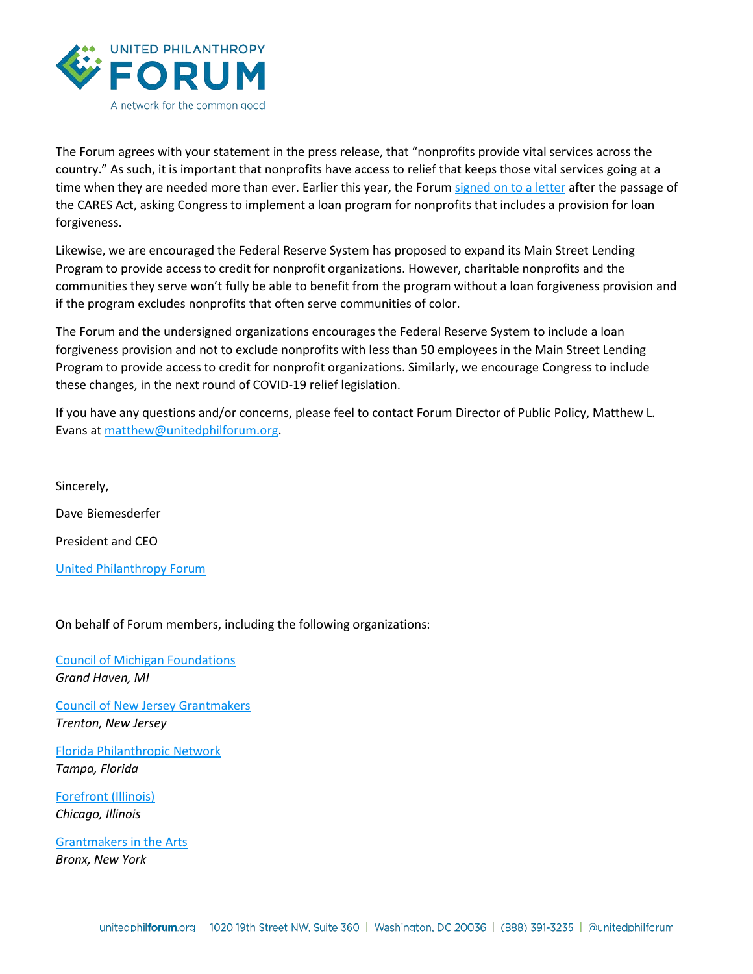

The Forum agrees with your statement in the press release, that "nonprofits provide vital services across the country." As such, it is important that nonprofits have access to relief that keeps those vital services going at a time when they are needed more than ever. Earlier this year, the Forum [signed on to a letter](https://www.councilofnonprofits.org/sites/default/files/documents/community-letter-nonprofit-track-reforms-to-cares-act.pdf) after the passage of the CARES Act, asking Congress to implement a loan program for nonprofits that includes a provision for loan forgiveness.

Likewise, we are encouraged the Federal Reserve System has proposed to expand its Main Street Lending Program to provide access to credit for nonprofit organizations. However, charitable nonprofits and the communities they serve won't fully be able to benefit from the program without a loan forgiveness provision and if the program excludes nonprofits that often serve communities of color.

The Forum and the undersigned organizations encourages the Federal Reserve System to include a loan forgiveness provision and not to exclude nonprofits with less than 50 employees in the Main Street Lending Program to provide access to credit for nonprofit organizations. Similarly, we encourage Congress to include these changes, in the next round of COVID-19 relief legislation.

If you have any questions and/or concerns, please feel to contact Forum Director of Public Policy, Matthew L. Evans at [matthew@unitedphilforum.org.](mailto:matthew@unitedphilforum.org)

Sincerely, Dave Biemesderfer President and CEO

[United Philanthropy Forum](https://www.unitedphilforum.org/)

On behalf of Forum members, including the following organizations:

[Council of Michigan Foundations](https://www.michiganfoundations.org/) *Grand Haven, MI*

[Council of New Jersey Grantmakers](https://www.cnjg.org/) *Trenton, New Jersey*

[Florida Philanthropic Network](https://www.fpnetwork.org/) *Tampa, Florida*

[Forefront \(Illinois\)](https://myforefront.org/) *Chicago, Illinois*

[Grantmakers in the Arts](https://www.giarts.org/) *Bronx, New York*